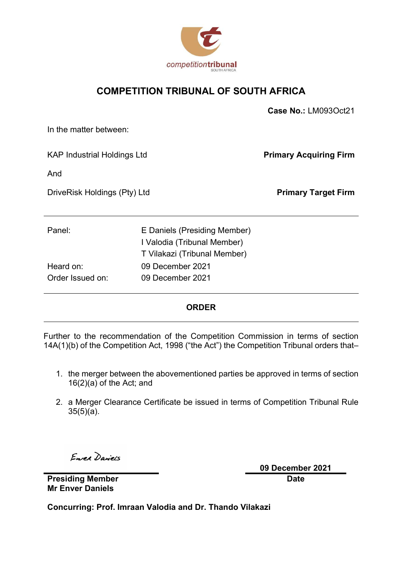

### COMPETITION TRIBUNAL OF SOUTH AFRICA

|                                                                                             | Case No.: LM093Oct21          |  |
|---------------------------------------------------------------------------------------------|-------------------------------|--|
|                                                                                             |                               |  |
| <b>KAP Industrial Holdings Ltd</b>                                                          | <b>Primary Acquiring Firm</b> |  |
|                                                                                             |                               |  |
| DriveRisk Holdings (Pty) Ltd                                                                |                               |  |
|                                                                                             |                               |  |
| E Daniels (Presiding Member)<br>I Valodia (Tribunal Member)<br>T Vilakazi (Tribunal Member) |                               |  |
| 09 December 2021                                                                            |                               |  |
| 09 December 2021                                                                            |                               |  |
|                                                                                             |                               |  |

### **ORDER**

Further to the recommendation of the Competition Commission in terms of section 14A(1)(b) of the Competition Act, 1998 ("the Act") the Competition Tribunal orders that–

- 1. the merger between the abovementioned parties be approved in terms of section 16(2)(a) of the Act; and
- 2. a Merger Clearance Certificate be issued in terms of Competition Tribunal Rule 35(5)(a).

Enrea Daniels

09 December 2021 Date

Presiding Member Mr Enver Daniels

Concurring: Prof. Imraan Valodia and Dr. Thando Vilakazi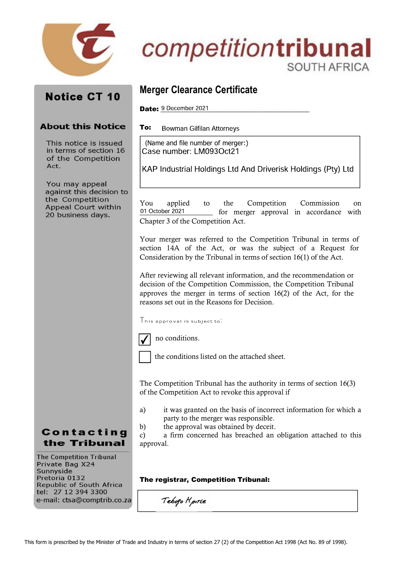

# competitiontribunal SOUTH AFRICA

## **Notice CT 10**

### **About this Notice**

This notice is issued in terms of section 16 of the Competition Act.

You may appeal against this decision to the Competition Appeal Court within 20 business days.

### Merger Clearance Certificate

Date: 9 December 2021

To: **Bowman Gilfilan Attorneys** 

(Name and file number of merger:)Case number: LM093Oct21

KAP Industrial Holdings Ltd And Driverisk Holdings (Pty) Ltd

You applied to the Competition Commission on 01 October 2021 for merger approval in accordance with Chapter 3 of the Competition Act.

Your merger was referred to the Competition Tribunal in terms of section 14A of the Act, or was the subject of a Request for Consideration by the Tribunal in terms of section 16(1) of the Act.

After reviewing all relevant information, and the recommendation or decision of the Competition Commission, the Competition Tribunal approves the merger in terms of section 16(2) of the Act, for the reasons set out in the Reasons for Decision.

 $\Gamma$ his approval is subject to:



no conditions.

the conditions listed on the attached sheet.

The Competition Tribunal has the authority in terms of section 16(3) of the Competition Act to revoke this approval if

- a) it was granted on the basis of incorrect information for which a party to the merger was responsible.
- b) the approval was obtained by deceit.

c) a firm concerned has breached an obligation attached to this approval.

#### The registrar, Competition Tribunal:

**The Competition Tribunal** Private Bag X24 Sunnyside Pretoria 0132 **Republic of South Africa** tel: 27 12 394 3300 e-mail: ctsa@comptrib.co.za

Contacting the Tribunal

Tebogo Hpirle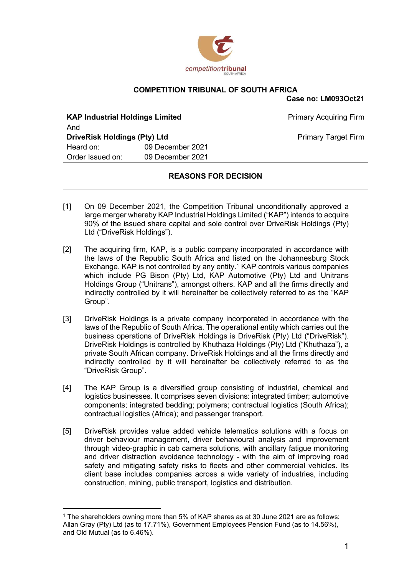

### COMPETITION TRIBUNAL OF SOUTH AFRICA

Case no: LM093Oct21

| <b>KAP Industrial Holdings Limited</b> |                  | <b>Primary Acquiring Firm</b> |
|----------------------------------------|------------------|-------------------------------|
| And                                    |                  |                               |
| <b>DriveRisk Holdings (Pty) Ltd</b>    |                  | <b>Primary Target Firm</b>    |
| Heard on:                              | 09 December 2021 |                               |
| Order Issued on:                       | 09 December 2021 |                               |

### REASONS FOR DECISION

- [1] On 09 December 2021, the Competition Tribunal unconditionally approved a large merger whereby KAP Industrial Holdings Limited ("KAP") intends to acquire 90% of the issued share capital and sole control over DriveRisk Holdings (Pty) Ltd ("DriveRisk Holdings").
- [2] The acquiring firm, KAP, is a public company incorporated in accordance with the laws of the Republic South Africa and listed on the Johannesburg Stock Exchange. KAP is not controlled by any entity.<sup>1</sup> KAP controls various companies which include PG Bison (Pty) Ltd, KAP Automotive (Pty) Ltd and Unitrans Holdings Group ("Unitrans"), amongst others. KAP and all the firms directly and indirectly controlled by it will hereinafter be collectively referred to as the "KAP Group".
- [3] DriveRisk Holdings is a private company incorporated in accordance with the laws of the Republic of South Africa. The operational entity which carries out the business operations of DriveRisk Holdings is DriveRisk (Pty) Ltd ("DriveRisk"). DriveRisk Holdings is controlled by Khuthaza Holdings (Pty) Ltd ("Khuthaza"), a private South African company. DriveRisk Holdings and all the firms directly and indirectly controlled by it will hereinafter be collectively referred to as the "DriveRisk Group".
- [4] The KAP Group is a diversified group consisting of industrial, chemical and logistics businesses. It comprises seven divisions: integrated timber; automotive components; integrated bedding; polymers; contractual logistics (South Africa); contractual logistics (Africa); and passenger transport.
- [5] DriveRisk provides value added vehicle telematics solutions with a focus on driver behaviour management, driver behavioural analysis and improvement through video-graphic in cab camera solutions, with ancillary fatigue monitoring and driver distraction avoidance technology - with the aim of improving road safety and mitigating safety risks to fleets and other commercial vehicles. Its client base includes companies across a wide variety of industries, including construction, mining, public transport, logistics and distribution.

<sup>1</sup> The shareholders owning more than 5% of KAP shares as at 30 June 2021 are as follows: Allan Gray (Pty) Ltd (as to 17.71%), Government Employees Pension Fund (as to 14.56%), and Old Mutual (as to 6.46%).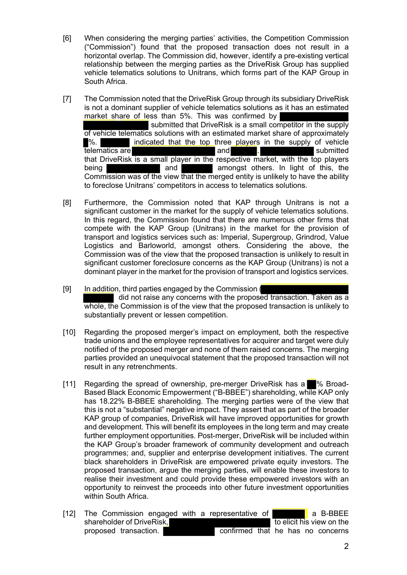- [6] When considering the merging parties' activities, the Competition Commission ("Commission") found that the proposed transaction does not result in a horizontal overlap. The Commission did, however, identify a pre-existing vertical relationship between the merging parties as the DriveRisk Group has supplied vehicle telematics solutions to Unitrans, which forms part of the KAP Group in South Africa.
- [7] The Commission noted that the DriveRisk Group through its subsidiary DriveRisk is not a dominant supplier of vehicle telematics solutions as it has an estimated market share of less than 5%. This was confirmed by submitted that DriveRisk is a small competitor in the supply of vehicle telematics solutions with an estimated market share of approximately %. indicated that the top three players in the supply of vehicle telematics are and the submitted and  $\blacksquare$ that DriveRisk is a small player in the respective market, with the top players being **and** and **amongst others.** In light of this, the Commission was of the view that the merged entity is unlikely to have the ability to foreclose Unitrans' competitors in access to telematics solutions.
- [8] Furthermore, the Commission noted that KAP through Unitrans is not a significant customer in the market for the supply of vehicle telematics solutions. In this regard, the Commission found that there are numerous other firms that compete with the KAP Group (Unitrans) in the market for the provision of transport and logistics services such as: Imperial, Supergroup, Grindrod, Value Logistics and Barloworld, amongst others. Considering the above, the Commission was of the view that the proposed transaction is unlikely to result in significant customer foreclosure concerns as the KAP Group (Unitrans) is not a dominant player in the market for the provision of transport and logistics services.
- [9] In addition, third parties engaged by the Commission ( did not raise any concerns with the proposed transaction. Taken as a whole, the Commission is of the view that the proposed transaction is unlikely to substantially prevent or lessen competition.
- [10] Regarding the proposed merger's impact on employment, both the respective trade unions and the employee representatives for acquirer and target were duly notified of the proposed merger and none of them raised concerns. The merging parties provided an unequivocal statement that the proposed transaction will not result in any retrenchments.
- [11] Regarding the spread of ownership, pre-merger DriveRisk has a % Broad-Based Black Economic Empowerment ("B-BBEE") shareholding, while KAP only has 18.22% B-BBEE shareholding. The merging parties were of the view that this is not a "substantial" negative impact. They assert that as part of the broader KAP group of companies, DriveRisk will have improved opportunities for growth and development. This will benefit its employees in the long term and may create further employment opportunities. Post-merger, DriveRisk will be included within the KAP Group's broader framework of community development and outreach programmes; and, supplier and enterprise development initiatives. The current black shareholders in DriveRisk are empowered private equity investors. The proposed transaction, argue the merging parties, will enable these investors to realise their investment and could provide these empowered investors with an opportunity to reinvest the proceeds into other future investment opportunities within South Africa.
- [12] The Commission engaged with a representative of  $\blacksquare$  a B-BBEE shareholder of DriveRisk, the state of the elicit his view on the shareholder of DriveRisk, proposed transaction. confirmed that he has no concerns